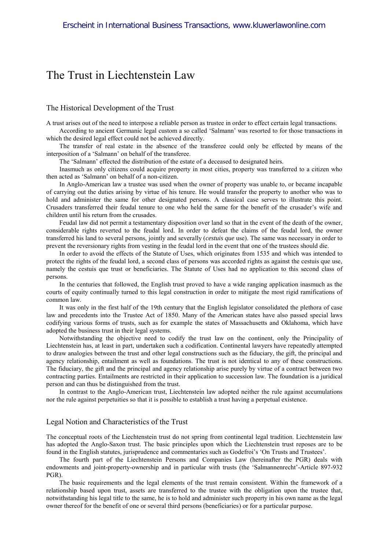# The Trust in Liechtenstein Law

### The Historical Development of the Trust

A trust arises out of the need to interpose a reliable person as trustee in order to effect certain legal transactions.

According to ancient Germanic legal custom a so called 'Salmann' was resorted to for those transactions in which the desired legal effect could not be achieved directly.

The transfer of real estate in the absence of the transferee could only be effected by means of the interposition of a 'Salmann' on behalf of the transferee.

The 'Salmann' effected the distribution of the estate of a deceased to designated heirs.

Inasmuch as only citizens could acquire property in most cities, property was transferred to a citizen who then acted as 'Salmann' on behalf of a non-citizen.

In Anglo-American law a trustee was used when the owner of property was unable to, or became incapable of carrying out the duties arising by virtue of his tenure. He would transfer the property to another who was to hold and administer the same for other designated persons. A classical case serves to illustrate this point. Crusaders transferred their feudal tenure to one who held the same for the benefit of the crusader's wife and children until his return from the crusades.

Feudal law did not permit a testamentary disposition over land so that in the event of the death of the owner, considerable rights reverted to the feudal lord. In order to defeat the claims of the feudal lord, the owner transferred his land to several persons, jointly and severally (*cestuis que* use). The same was necessary in order to prevent the reversionary rights from vesting in the feudal lord in the event that one of the trustees should die.

In order to avoid the effects of the Statute of Uses, which originates from 1535 and which was intended to protect the rights of the feudal lord, a second class of persons was accorded rights as against the cestuis que use, namely the cestuis que trust or beneficiaries. The Statute of Uses had no application to this second class of persons.

In the centuries that followed, the English trust proved to have a wide ranging application inasmuch as the courts of equity continually turned to this legal construction in order to mitigate the most rigid ramifications of common law.

It was only in the first half of the 19th century that the English legislator consolidated the plethora of case law and precedents into the Trustee Act of 1850. Many of the American states have also passed special laws codifying various forms of trusts, such as for example the states of Massachusetts and Oklahoma, which have adopted the business trust in their legal systems.

Notwithstanding the objective need to codify the trust law on the continent, only the Principality of Liechtenstein has, at least in part, undertaken such a codification. Continental lawyers have repeatedly attempted to draw analogies between the trust and other legal constructions such as the fiduciary, the gift, the principal and agency relationship, entailment as well as foundations. The trust is not identical to any of these constructions. The fiduciary, the gift and the principal and agency relationship arise purely by virtue of a contract between two contracting parties. Entailments are restricted in their application to succession law. The foundation is a juridical person and can thus be distinguished from the trust.

In contrast to the Anglo-American trust, Liechtenstein law adopted neither the rule against accumulations nor the rule against perpetuities so that it is possible to establish a trust having a perpetual existence.

### Legal Notion and Characteristics of the Trust

The conceptual roots of the Liechtenstein trust do not spring from continental legal tradition. Liechtenstein law has adopted the Anglo-Saxon trust. The basic principles upon which the Liechtenstein trust reposes are to be found in the English statutes, jurisprudence and commentaries such as Godefroi's 'On Trusts and Trustees'.

The fourth part of the Liechtenstein Persons and Companies Law (hereinafter the PGR) deals with endowments and joint-property-ownership and in particular with trusts (the 'Salmannenrecht'-Article 897-932 PGR).

The basic requirements and the legal elements of the trust remain consistent. Within the framework of a relationship based upon trust, assets are transferred to the trustee with the obligation upon the trustee that, notwithstanding his legal title to the same, he is to hold and administer such property in his own name as the legal owner thereof for the benefit of one or several third persons (beneficiaries) or for a particular purpose.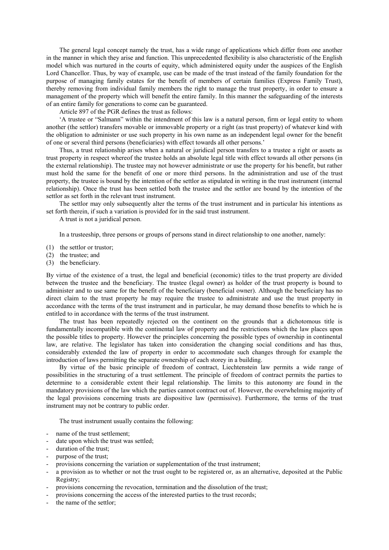The general legal concept namely the trust, has a wide range of applications which differ from one another in the manner in which they arise and function. This unprecedented flexibility is also characteristic of the English model which was nurtured in the courts of equity, which administered equity under the auspices of the English Lord Chancellor. Thus, by way of example, use can be made of the trust instead of the family foundation for the purpose of managing family estates for the benefit of members of certain families (Express Family Trust), thereby removing from individual family members the right to manage the trust property, in order to ensure a management of the property which will benefit the entire family. In this manner the safeguarding of the interests of an entire family for generations to come can be guaranteed.

Article 897 of the PGR defines the trust as follows:

'A trustee or "Salmann" within the intendment of this law is a natural person, firm or legal entity to whom another (the settlor) transfers movable or immovable property or a right (as trust property) of whatever kind with the obligation to administer or use such property in his own name as an independent legal owner for the benefit of one or several third persons (beneficiaries) with effect towards all other persons.'

Thus, a trust relationship arises when a natural or juridical person transfers to a trustee a right or assets as trust property in respect whereof the trustee holds an absolute legal title with effect towards all other persons (in the external relationship). The trustee may not however administrate or use the property for his benefit, but rather must hold the same for the benefit of one or more third persons. In the administration and use of the trust property, the trustee is bound by the intention of the settlor as stipulated in writing in the trust instrument (internal relationship). Once the trust has been settled both the trustee and the settlor are bound by the intention of the settlor as set forth in the relevant trust instrument.

The settlor may only subsequently alter the terms of the trust instrument and in particular his intentions as set forth therein, if such a variation is provided for in the said trust instrument.

A trust is not a juridical person.

In a trusteeship, three persons or groups of persons stand in direct relationship to one another, namely:

- (1) the settlor or trustor;
- (2) the trustee; and
- (3) the beneficiary.

By virtue of the existence of a trust, the legal and beneficial (economic) titles to the trust property are divided between the trustee and the beneficiary. The trustee (legal owner) as holder of the trust property is bound to administer and to use same for the benefit of the beneficiary (beneficial owner). Although the beneficiary has no direct claim to the trust property he may require the trustee to administrate and use the trust property in accordance with the terms of the trust instrument and in particular, he may demand those benefits to which he is entitled to in accordance with the terms of the trust instrument.

The trust has been repeatedly rejected on the continent on the grounds that a dichotomous title is fundamentally incompatible with the continental law of property and the restrictions which the law places upon the possible titles to property. However the principles concerning the possible types of ownership in continental law, are relative. The legislator has taken into consideration the changing social conditions and has thus, considerably extended the law of property in order to accommodate such changes through for example the introduction of laws permitting the separate ownership of each storey in a building.

By virtue of the basic principle of freedom of contract, Liechtenstein law permits a wide range of possibilities in the structuring of a trust settlement. The principle of freedom of contract permits the parties to determine to a considerable extent their legal relationship. The limits to this autonomy are found in the mandatory provisions of the law which the parties cannot contract out of. However, the overwhelming majority of the legal provisions concerning trusts are dispositive law (permissive). Furthermore, the terms of the trust instrument may not be contrary to public order.

The trust instrument usually contains the following:

- name of the trust settlement:
- date upon which the trust was settled;
- duration of the trust;
- purpose of the trust:
- provisions concerning the variation or supplementation of the trust instrument;
- a provision as to whether or not the trust ought to be registered or, as an alternative, deposited at the Public Registry;
- provisions concerning the revocation, termination and the dissolution of the trust;
- provisions concerning the access of the interested parties to the trust records;
- the name of the settlor;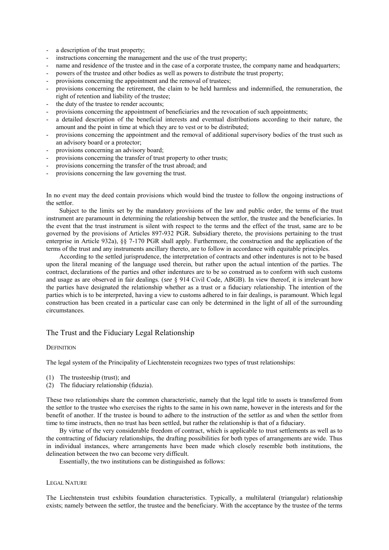- a description of the trust property;
- instructions concerning the management and the use of the trust property;
- half name and residence of the trustee and in the case of a corporate trustee, the company name and headquarters;
- powers of the trustee and other bodies as well as powers to distribute the trust property;
- provisions concerning the appointment and the removal of trustees;
- provisions concerning the retirement, the claim to be held harmless and indemnified, the remuneration, the right of retention and liability of the trustee;
- the duty of the trustee to render accounts;
- provisions concerning the appointment of beneficiaries and the revocation of such appointments;
- a detailed description of the beneficial interests and eventual distributions according to their nature, the amount and the point in time at which they are to vest or to be distributed;
- provisions concerning the appointment and the removal of additional supervisory bodies of the trust such as an advisory board or a protector;
- provisions concerning an advisory board;
- provisions concerning the transfer of trust property to other trusts;
- provisions concerning the transfer of the trust abroad; and
- provisions concerning the law governing the trust.

In no event may the deed contain provisions which would bind the trustee to follow the ongoing instructions of the settlor.

Subject to the limits set by the mandatory provisions of the law and public order, the terms of the trust instrument are paramount in determining the relationship between the settlor, the trustee and the beneficiaries. In the event that the trust instrument is silent with respect to the terms and the effect of the trust, same are to be governed by the provisions of Articles 897-932 PGR. Subsidiary thereto, the provisions pertaining to the trust enterprise in Article 932a), §§ 7-170 PGR shall apply. Furthermore, the construction and the application of the terms of the trust and any instruments ancillary thereto, are to follow in accordance with equitable principles.

According to the settled jurisprudence, the interpretation of contracts and other indentures is not to be based upon the literal meaning of the language used therein, but rather upon the actual intention of the parties. The contract, declarations of the parties and other indentures are to be so construed as to conform with such customs and usage as are observed in fair dealings. (*see* § 914 Civil Code, ABGB). In view thereof, it is irrelevant how the parties have designated the relationship whether as a trust or a fiduciary relationship. The intention of the parties which is to be interpreted, having a view to customs adhered to in fair dealings, is paramount. Which legal construction has been created in a particular case can only be determined in the light of all of the surrounding circumstances.

# The Trust and the Fiduciary Legal Relationship

### **DEFINITION**

The legal system of the Principality of Liechtenstein recognizes two types of trust relationships:

- (1) The trusteeship (trust); and
- (2) The fiduciary relationship (fiduzia).

These two relationships share the common characteristic, namely that the legal title to assets is transferred from the settlor to the trustee who exercises the rights to the same in his own name, however in the interests and for the benefit of another. If the trustee is bound to adhere to the instruction of the settlor as and when the settlor from time to time instructs, then no trust has been settled, but rather the relationship is that of a fiduciary.

By virtue of the very considerable freedom of contract, which is applicable to trust settlements as well as to the contracting of fiduciary relationships, the drafting possibilities for both types of arrangements are wide. Thus in individual instances, where arrangements have been made which closely resemble both institutions, the delineation between the two can become very difficult.

Essentially, the two institutions can be distinguished as follows:

### LEGAL NATURE

The Liechtenstein trust exhibits foundation characteristics. Typically, a multilateral (triangular) relationship exists; namely between the settlor, the trustee and the beneficiary. With the acceptance by the trustee of the terms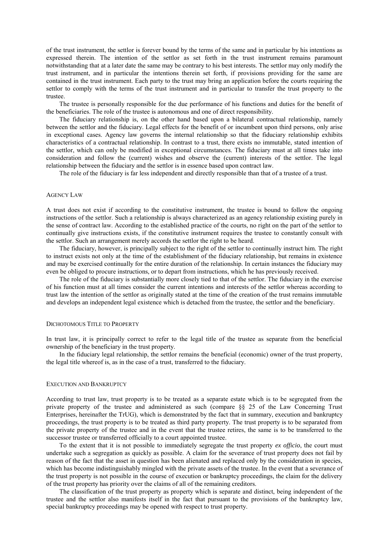of the trust instrument, the settlor is forever bound by the terms of the same and in particular by his intentions as expressed therein. The intention of the settlor as set forth in the trust instrument remains paramount notwithstanding that at a later date the same may be contrary to his best interests. The settlor may only modify the trust instrument, and in particular the intentions therein set forth, if provisions providing for the same are contained in the trust instrument. Each party to the trust may bring an application before the courts requiring the settlor to comply with the terms of the trust instrument and in particular to transfer the trust property to the trustee.

The trustee is personally responsible for the due performance of his functions and duties for the benefit of the beneficiaries. The role of the trustee is autonomous and one of direct responsibility.

The fiduciary relationship is, on the other hand based upon a bilateral contractual relationship, namely between the settlor and the fiduciary. Legal effects for the benefit of or incumbent upon third persons, only arise in exceptional cases. Agency law governs the internal relationship so that the fiduciary relationship exhibits characteristics of a contractual relationship. In contrast to a trust, there exists no immutable, stated intention of the settlor, which can only be modified in exceptional circumstances. The fiduciary must at all times take into consideration and follow the (current) wishes and observe the (current) interests of the settlor. The legal relationship between the fiduciary and the settlor is in essence based upon contract law.

The role of the fiduciary is far less independent and directly responsible than that of a trustee of a trust.

#### AGENCY LAW

A trust does not exist if according to the constitutive instrument, the trustee is bound to follow the ongoing instructions of the settlor. Such a relationship is always characterized as an agency relationship existing purely in the sense of contract law. According to the established practice of the courts, no right on the part of the settlor to continually give instructions exists, if the constitutive instrument requires the trustee to constantly consult with the settlor. Such an arrangement merely accords the settlor the right to be heard.

The fiduciary, however, is principally subject to the right of the settlor to continually instruct him. The right to instruct exists not only at the time of the establishment of the fiduciary relationship, but remains in existence and may be exercised continually for the entire duration of the relationship. In certain instances the fiduciary may even be obliged to procure instructions, or to depart from instructions, which he has previously received.

The role of the fiduciary is substantially more closely tied to that of the settlor. The fiduciary in the exercise of his function must at all times consider the current intentions and interests of the settlor whereas according to trust law the intention of the settlor as originally stated at the time of the creation of the trust remains immutable and develops an independent legal existence which is detached from the trustee, the settlor and the beneficiary.

#### DICHOTOMOUS TITLE TO PROPERTY

In trust law, it is principally correct to refer to the legal title of the trustee as separate from the beneficial ownership of the beneficiary in the trust property.

In the fiduciary legal relationship, the settlor remains the beneficial (economic) owner of the trust property, the legal title whereof is, as in the case of a trust, transferred to the fiduciary.

### EXECUTION AND BANKRUPTCY

According to trust law, trust property is to be treated as a separate estate which is to be segregated from the private property of the trustee and administered as such (compare §§ 25 of the Law Concerning Trust Enterprises, hereinafter the TrUG), which is demonstrated by the fact that in summary, execution and bankruptcy proceedings, the trust property is to be treated as third party property. The trust property is to be separated from the private property of the trustee and in the event that the trustee retires, the same is to be transferred to the successor trustee or transferred officially to a court appointed trustee.

To the extent that it is not possible to immediately segregate the trust property *ex officio*, the court must undertake such a segregation as quickly as possible. A claim for the severance of trust property does not fail by reason of the fact that the asset in question has been alienated and replaced only by the consideration in species, which has become indistinguishably mingled with the private assets of the trustee. In the event that a severance of the trust property is not possible in the course of execution or bankruptcy proceedings, the claim for the delivery of the trust property has priority over the claims of all of the remaining creditors.

The classification of the trust property as property which is separate and distinct, being independent of the trustee and the settlor also manifests itself in the fact that pursuant to the provisions of the bankruptcy law, special bankruptcy proceedings may be opened with respect to trust property.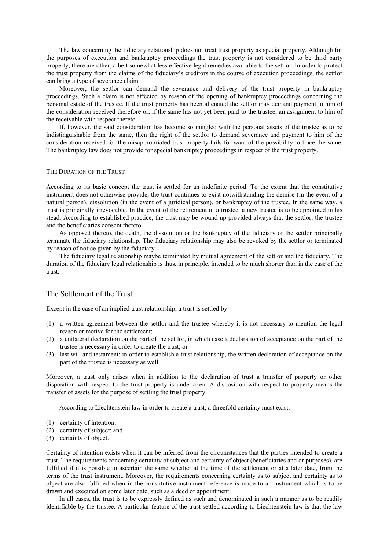The law concerning the fiduciary relationship does not treat trust property as special property. Although for the purposes of execution and bankruptcy proceedings the trust property is not considered to be third party property, there are other, albeit somewhat less effective legal remedies available to the settlor. In order to protect the trust property from the claims of the fiduciary's creditors in the course of execution proceedings, the settlor can bring a type of severance claim.

Moreover, the settlor can demand the severance and delivery of the trust property in bankruptcy proceedings. Such a claim is not affected by reason of the opening of bankruptcy proceedings concerning the personal estate of the trustee. If the trust property has been alienated the settlor may demand payment to him of the consideration received therefore or, if the same has not yet been paid to the trustee, an assignment to him of the receivable with respect thereto.

If, however, the said consideration has become so mingled with the personal assets of the trustee as to be indistinguishable from the same, then the right of the settlor to demand severance and payment to him of the consideration received for the misappropriated trust property fails for want of the possibility to trace the same. The bankruptcy law does not provide for special bankruptcy proceedings in respect of the trust property.

#### THE DURATION OF THE TRUST

According to its basic concept the trust is settled for an indefinite period. To the extent that the constitutive instrument does not otherwise provide, the trust continues to exist notwithstanding the demise (in the event of a natural person), dissolution (in the event of a juridical person), or bankruptcy of the trustee. In the same way, a trust is principally irrevocable. In the event of the retirement of a trustee, a new trustee is to be appointed in his stead. According to established practice, the trust may be wound up provided always that the settlor, the trustee and the beneficiaries consent thereto.

As opposed thereto, the death, the dissolution or the bankruptcy of the fiduciary or the settlor principally terminate the fiduciary relationship. The fiduciary relationship may also be revoked by the settlor or terminated by reason of notice given by the fiduciary.

The fiduciary legal relationship maybe terminated by mutual agreement of the settlor and the fiduciary. The duration of the fiduciary legal relationship is thus, in principle, intended to be much shorter than in the case of the trust.

# The Settlement of the Trust

Except in the case of an implied trust relationship, a trust is settled by:

- (1) a written agreement between the settlor and the trustee whereby it is not necessary to mention the legal reason or motive for the settlement;
- (2) a unilateral declaration on the part of the settlor, in which case a declaration of acceptance on the part of the trustee is necessary in order to create the trust; or
- (3) last will and testament; in order to establish a trust relationship, the written declaration of acceptance on the part of the trustee is necessary as well.

Moreover, a trust only arises when in addition to the declaration of trust a transfer of property or other disposition with respect to the trust property is undertaken. A disposition with respect to property means the transfer of assets for the purpose of settling the trust property.

According to Liechtenstein law in order to create a trust, a threefold certainty must exist:

- (1) certainty of intention;
- (2) certainty of subject; and
- (3) certainty of object.

Certainty of intention exists when it can be inferred from the circumstances that the parties intended to create a trust. The requirements concerning certainty of subject and certainty of object (beneficiaries and or purposes), are fulfilled if it is possible to ascertain the same whether at the time of the settlement or at a later date, from the terms of the trust instrument. Moreover, the requirements concerning certainty as to subject and certainty as to object are also fulfilled when in the constitutive instrument reference is made to an instrument which is to be drawn and executed on some later date, such as a deed of appointment.

In all cases, the trust is to be expressly defined as such and denominated in such a manner as to be readily identifiable by the trustee. A particular feature of the trust settled according to Liechtenstein law is that the law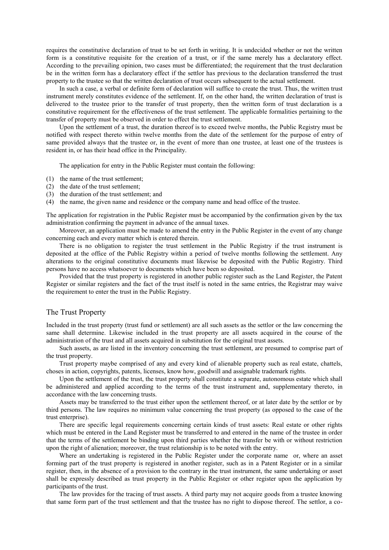requires the constitutive declaration of trust to be set forth in writing. It is undecided whether or not the written form is a constitutive requisite for the creation of a trust, or if the same merely has a declaratory effect. According to the prevailing opinion, two cases must be differentiated; the requirement that the trust declaration be in the written form has a declaratory effect if the settlor has previous to the declaration transferred the trust property to the trustee so that the written declaration of trust occurs subsequent to the actual settlement.

In such a case, a verbal or definite form of declaration will suffice to create the trust. Thus, the written trust instrument merely constitutes evidence of the settlement. If, on the other hand, the written declaration of trust is delivered to the trustee prior to the transfer of trust property, then the written form of trust declaration is a constitutive requirement for the effectiveness of the trust settlement. The applicable formalities pertaining to the transfer of property must be observed in order to effect the trust settlement.

Upon the settlement of a trust, the duration thereof is to exceed twelve months, the Public Registry must be notified with respect thereto within twelve months from the date of the settlement for the purpose of entry of same provided always that the trustee or, in the event of more than one trustee, at least one of the trustees is resident in, or has their head office in the Principality.

The application for entry in the Public Register must contain the following:

- (1) the name of the trust settlement;
- (2) the date of the trust settlement;
- (3) the duration of the trust settlement; and
- (4) the name, the given name and residence or the company name and head office of the trustee.

The application for registration in the Public Register must be accompanied by the confirmation given by the tax administration confirming the payment in advance of the annual taxes.

Moreover, an application must be made to amend the entry in the Public Register in the event of any change concerning each and every matter which is entered therein.

There is no obligation to register the trust settlement in the Public Registry if the trust instrument is deposited at the office of the Public Registry within a period of twelve months following the settlement. Any alterations to the original constitutive documents must likewise be deposited with the Public Registry. Third persons have no access whatsoever to documents which have been so deposited.

Provided that the trust property is registered in another public register such as the Land Register, the Patent Register or similar registers and the fact of the trust itself is noted in the same entries, the Registrar may waive the requirement to enter the trust in the Public Registry.

# The Trust Property

Included in the trust property (trust fund or settlement) are all such assets as the settlor or the law concerning the same shall determine. Likewise included in the trust property are all assets acquired in the course of the administration of the trust and all assets acquired in substitution for the original trust assets.

Such assets, as are listed in the inventory concerning the trust settlement, are presumed to comprise part of the trust property.

Trust property maybe comprised of any and every kind of alienable property such as real estate, chattels, choses in action, copyrights, patents, licenses, know how, goodwill and assignable trademark rights.

Upon the settlement of the trust, the trust property shall constitute a separate, autonomous estate which shall be administered and applied according to the terms of the trust instrument and, supplementary thereto, in accordance with the law concerning trusts.

Assets may be transferred to the trust either upon the settlement thereof, or at later date by the settlor or by third persons. The law requires no minimum value concerning the trust property (as opposed to the case of the trust enterprise).

There are specific legal requirements concerning certain kinds of trust assets: Real estate or other rights which must be entered in the Land Register must be transferred to and entered in the name of the trustee in order that the terms of the settlement be binding upon third parties whether the transfer be with or without restriction upon the right of alienation; moreover, the trust relationship is to be noted with the entry.

Where an undertaking is registered in the Public Register under the corporate name or, where an asset forming part of the trust property is registered in another register, such as in a Patent Register or in a similar register, then, in the absence of a provision to the contrary in the trust instrument, the same undertaking or asset shall be expressly described as trust property in the Public Register or other register upon the application by participants of the trust.

The law provides for the tracing of trust assets. A third party may not acquire goods from a trustee knowing that same form part of the trust settlement and that the trustee has no right to dispose thereof. The settlor, a co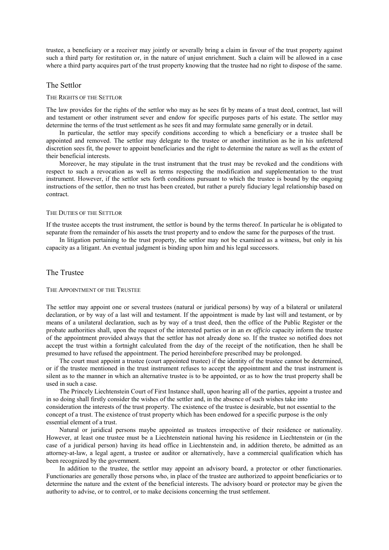trustee, a beneficiary or a receiver may jointly or severally bring a claim in favour of the trust property against such a third party for restitution or, in the nature of unjust enrichment. Such a claim will be allowed in a case where a third party acquires part of the trust property knowing that the trustee had no right to dispose of the same.

### The Settlor

### THE RIGHTS OF THE SETTLOR

The law provides for the rights of the settlor who may as he sees fit by means of a trust deed, contract, last will and testament or other instrument sever and endow for specific purposes parts of his estate. The settlor may determine the terms of the trust settlement as he sees fit and may formulate same generally or in detail.

In particular, the settlor may specify conditions according to which a beneficiary or a trustee shall be appointed and removed. The settlor may delegate to the trustee or another institution as he in his unfettered discretion sees fit, the power to appoint beneficiaries and the right to determine the nature as well as the extent of their beneficial interests.

Moreover, he may stipulate in the trust instrument that the trust may be revoked and the conditions with respect to such a revocation as well as terms respecting the modification and supplementation to the trust instrument. However, if the settlor sets forth conditions pursuant to which the trustee is bound by the ongoing instructions of the settlor, then no trust has been created, but rather a purely fiduciary legal relationship based on contract.

#### THE DUTIES OF THE SETTLOR

If the trustee accepts the trust instrument, the settlor is bound by the terms thereof. In particular he is obligated to separate from the remainder of his assets the trust property and to endow the same for the purposes of the trust.

In litigation pertaining to the trust property, the settlor may not be examined as a witness, but only in his capacity as a litigant. An eventual judgment is binding upon him and his legal successors.

### The Trustee

#### THE APPOINTMENT OF THE TRUSTEE

The settlor may appoint one or several trustees (natural or juridical persons) by way of a bilateral or unilateral declaration, or by way of a last will and testament. If the appointment is made by last will and testament, or by means of a unilateral declaration, such as by way of a trust deed, then the office of the Public Register or the probate authorities shall, upon the request of the interested parties or in an *ex officio* capacity inform the trustee of the appointment provided always that the settlor has not already done so. If the trustee so notified does not accept the trust within a fortnight calculated from the day of the receipt of the notification, then he shall be presumed to have refused the appointment. The period hereinbefore prescribed may be prolonged.

The court must appoint a trustee (court appointed trustee) if the identity of the trustee cannot be determined, or if the trustee mentioned in the trust instrument refuses to accept the appointment and the trust instrument is silent as to the manner in which an alternative trustee is to be appointed, or as to how the trust property shall be used in such a case.

The Princely Liechtenstein Court of First Instance shall, upon hearing all of the parties, appoint a trustee and in so doing shall firstly consider the wishes of the settler and, in the absence of such wishes take into consideration the interests of the trust property. The existence of the trustee is desirable, but not essential to the concept of a trust. The existence of trust property which has been endowed for a specific purpose is the only essential element of a trust.

Natural or juridical persons maybe appointed as trustees irrespective of their residence or nationality. However, at least one trustee must be a Liechtenstein national having his residence in Liechtenstein or (in the case of a juridical person) having its head office in Liechtenstein and, in addition thereto, be admitted as an attorney-at-law, a legal agent, a trustee or auditor or alternatively, have a commercial qualification which has been recognized by the government.

In addition to the trustee, the settlor may appoint an advisory board, a protector or other functionaries. Functionaries are generally those persons who, in place of the trustee are authorized to appoint beneficiaries or to determine the nature and the extent of the beneficial interests. The advisory board or protector may be given the authority to advise, or to control, or to make decisions concerning the trust settlement.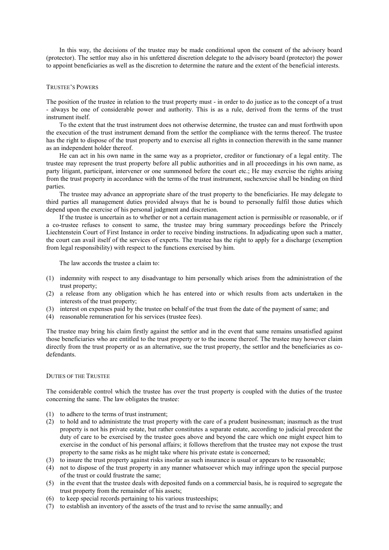In this way, the decisions of the trustee may be made conditional upon the consent of the advisory board (protector). The settlor may also in his unfettered discretion delegate to the advisory board (protector) the power to appoint beneficiaries as well as the discretion to determine the nature and the extent of the beneficial interests.

### TRUSTEE'S POWERS

The position of the trustee in relation to the trust property must - in order to do justice as to the concept of a trust - always be one of considerable power and authority. This is as a rule, derived from the terms of the trust instrument itself.

To the extent that the trust instrument does not otherwise determine, the trustee can and must forthwith upon the execution of the trust instrument demand from the settlor the compliance with the terms thereof. The trustee has the right to dispose of the trust property and to exercise all rights in connection therewith in the same manner as an independent holder thereof.

He can act in his own name in the same way as a proprietor, creditor or functionary of a legal entity. The trustee may represent the trust property before all public authorities and in all proceedings in his own name, as party litigant, participant, intervener or one summoned before the court etc.; He may exercise the rights arising from the trust property in accordance with the terms of the trust instrument, suchexercise shall be binding on third parties.

The trustee may advance an appropriate share of the trust property to the beneficiaries. He may delegate to third parties all management duties provided always that he is bound to personally fulfil those duties which depend upon the exercise of his personal judgment and discretion.

If the trustee is uncertain as to whether or not a certain management action is permissible or reasonable, or if a co-trustee refuses to consent to same, the trustee may bring summary proceedings before the Princely Liechtenstein Court of First Instance in order to receive binding instructions. In adjudicating upon such a matter, the court can avail itself of the services of experts. The trustee has the right to apply for a discharge (exemption from legal responsibility) with respect to the functions exercised by him.

The law accords the trustee a claim to:

- (1) indemnity with respect to any disadvantage to him personally which arises from the administration of the trust property;
- (2) a release from any obligation which he has entered into or which results from acts undertaken in the interests of the trust property;
- (3) interest on expenses paid by the trustee on behalf of the trust from the date of the payment of same; and
- (4) reasonable remuneration for his services (trustee fees).

The trustee may bring his claim firstly against the settlor and in the event that same remains unsatisfied against those beneficiaries who are entitled to the trust property or to the income thereof. The trustee may however claim directly from the trust property or as an alternative, sue the trust property, the settlor and the beneficiaries as codefendants.

### DUTIES OF THE TRUSTEE

The considerable control which the trustee has over the trust property is coupled with the duties of the trustee concerning the same. The law obligates the trustee:

- (1) to adhere to the terms of trust instrument;
- (2) to hold and to administrate the trust property with the care of a prudent businessman; inasmuch as the trust property is not his private estate, but rather constitutes a separate estate, according to judicial precedent the duty of care to be exercised by the trustee goes above and beyond the care which one might expect him to exercise in the conduct of his personal affairs; it follows therefrom that the trustee may not expose the trust property to the same risks as he might take where his private estate is concerned;
- (3) to insure the trust property against risks insofar as such insurance is usual or appears to be reasonable;
- (4) not to dispose of the trust property in any manner whatsoever which may infringe upon the special purpose of the trust or could frustrate the same;
- (5) in the event that the trustee deals with deposited funds on a commercial basis, he is required to segregate the trust property from the remainder of his assets;
- (6) to keep special records pertaining to his various trusteeships;
- (7) to establish an inventory of the assets of the trust and to revise the same annually; and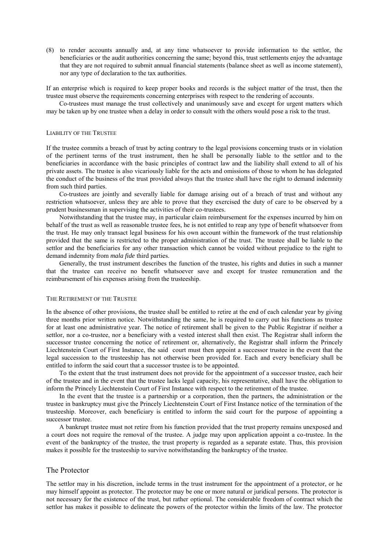(8) to render accounts annually and, at any time whatsoever to provide information to the settlor, the beneficiaries or the audit authorities concerning the same; beyond this, trust settlements enjoy the advantage that they are not required to submit annual financial statements (balance sheet as well as income statement), nor any type of declaration to the tax authorities.

If an enterprise which is required to keep proper books and records is the subject matter of the trust, then the trustee must observe the requirements concerning enterprises with respect to the rendering of accounts.

Co-trustees must manage the trust collectively and unanimously save and except for urgent matters which may be taken up by one trustee when a delay in order to consult with the others would pose a risk to the trust.

### LIABILITY OF THE TRUSTEE

If the trustee commits a breach of trust by acting contrary to the legal provisions concerning trusts or in violation of the pertinent terms of the trust instrument, then he shall be personally liable to the settlor and to the beneficiaries in accordance with the basic principles of contract law and the liability shall extend to all of his private assets. The trustee is also vicariously liable for the acts and omissions of those to whom he has delegated the conduct of the business of the trust provided always that the trustee shall have the right to demand indemnity from such third parties.

Co-trustees are jointly and severally liable for damage arising out of a breach of trust and without any restriction whatsoever, unless they are able to prove that they exercised the duty of care to be observed by a prudent businessman in supervising the activities of their co-trustees.

Notwithstanding that the trustee may, in particular claim reimbursement for the expenses incurred by him on behalf of the trust as well as reasonable trustee fees, he is not entitled to reap any type of benefit whatsoever from the trust. He may only transact legal business for his own account within the framework of the trust relationship provided that the same is restricted to the proper administration of the trust. The trustee shall be liable to the settlor and the beneficiaries for any other transaction which cannot be voided without prejudice to the right to demand indemnity from *mala fide* third parties.

Generally, the trust instrument describes the function of the trustee, his rights and duties in such a manner that the trustee can receive no benefit whatsoever save and except for trustee remuneration and the reimbursement of his expenses arising from the trusteeship.

#### THE RETIREMENT OF THE TRUSTEE

In the absence of other provisions, the trustee shall be entitled to retire at the end of each calendar year by giving three months prior written notice. Notwithstanding the same, he is required to carry out his functions as trustee for at least one administrative year. The notice of retirement shall be given to the Public Registrar if neither a settlor, nor a co-trustee, nor a beneficiary with a vested interest shall then exist. The Registrar shall inform the successor trustee concerning the notice of retirement or, alternatively, the Registrar shall inform the Princely Liechtenstein Court of First Instance, the said court must then appoint a successor trustee in the event that the legal succession to the trusteeship has not otherwise been provided for. Each and every beneficiary shall be entitled to inform the said court that a successor trustee is to be appointed.

To the extent that the trust instrument does not provide for the appointment of a successor trustee, each heir of the trustee and in the event that the trustee lacks legal capacity, his representative, shall have the obligation to inform the Princely Liechtenstein Court of First Instance with respect to the retirement of the trustee.

In the event that the trustee is a partnership or a corporation, then the partners, the administration or the trustee in bankruptcy must give the Princely Liechtenstein Court of First Instance notice of the termination of the trusteeship. Moreover, each beneficiary is entitled to inform the said court for the purpose of appointing a successor trustee.

A bankrupt trustee must not retire from his function provided that the trust property remains unexposed and a court does not require the removal of the trustee. A judge may upon application appoint a co-trustee. In the event of the bankruptcy of the trustee, the trust property is regarded as a separate estate. Thus, this provision makes it possible for the trusteeship to survive notwithstanding the bankruptcy of the trustee.

### The Protector

The settlor may in his discretion, include terms in the trust instrument for the appointment of a protector, or he may himself appoint as protector. The protector may be one or more natural or juridical persons. The protector is not necessary for the existence of the trust, but rather optional. The considerable freedom of contract which the settlor has makes it possible to delineate the powers of the protector within the limits of the law. The protector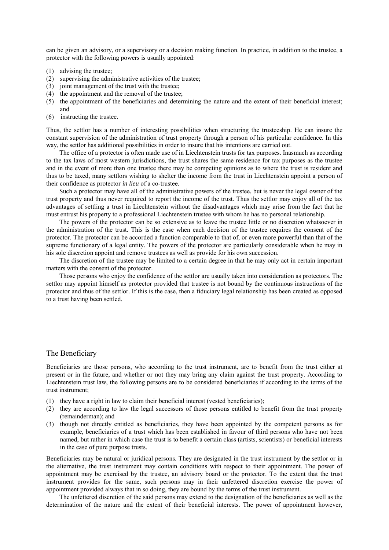can be given an advisory, or a supervisory or a decision making function. In practice, in addition to the trustee, a protector with the following powers is usually appointed:

- (1) advising the trustee;
- (2) supervising the administrative activities of the trustee;
- (3) joint management of the trust with the trustee:
- (4) the appointment and the removal of the trustee;
- (5) the appointment of the beneficiaries and determining the nature and the extent of their beneficial interest; and
- (6) instructing the trustee.

Thus, the settlor has a number of interesting possibilities when structuring the trusteeship. He can insure the constant supervision of the administration of trust property through a person of his particular confidence. In this way, the settlor has additional possibilities in order to insure that his intentions are carried out.

The office of a protector is often made use of in Liechtenstein trusts for tax purposes. Inasmuch as according to the tax laws of most western jurisdictions, the trust shares the same residence for tax purposes as the trustee and in the event of more than one trustee there may be competing opinions as to where the trust is resident and thus to be taxed, many settlors wishing to shelter the income from the trust in Liechtenstein appoint a person of their confidence as protector *in lieu* of a co-trustee.

Such a protector may have all of the administrative powers of the trustee, but is never the legal owner of the trust property and thus never required to report the income of the trust. Thus the settlor may enjoy all of the tax advantages of settling a trust in Liechtenstein without the disadvantages which may arise from the fact that he must entrust his property to a professional Liechtenstein trustee with whom he has no personal relationship.

The powers of the protector can be so extensive as to leave the trustee little or no discretion whatsoever in the administration of the trust. This is the case when each decision of the trustee requires the consent of the protector. The protector can be accorded a function comparable to that of, or even more powerful than that of the supreme functionary of a legal entity. The powers of the protector are particularly considerable when he may in his sole discretion appoint and remove trustees as well as provide for his own succession.

The discretion of the trustee may be limited to a certain degree in that he may only act in certain important matters with the consent of the protector.

Those persons who enjoy the confidence of the settlor are usually taken into consideration as protectors. The settlor may appoint himself as protector provided that trustee is not bound by the continuous instructions of the protector and thus of the settlor. If this is the case, then a fiduciary legal relationship has been created as opposed to a trust having been settled.

### The Beneficiary

Beneficiaries are those persons, who according to the trust instrument, are to benefit from the trust either at present or in the future, and whether or not they may bring any claim against the trust property. According to Liechtenstein trust law, the following persons are to be considered beneficiaries if according to the terms of the trust instrument;

- (1) they have a right in law to claim their beneficial interest (vested beneficiaries);
- (2) they are according to law the legal successors of those persons entitled to benefit from the trust property (remainderman); and
- (3) though not directly entitled as beneficiaries, they have been appointed by the competent persons as for example, beneficiaries of a trust which has been established in favour of third persons who have not been named, but rather in which case the trust is to benefit a certain class (artists, scientists) or beneficial interests in the case of pure purpose trusts.

Beneficiaries may be natural or juridical persons. They are designated in the trust instrument by the settlor or in the alternative, the trust instrument may contain conditions with respect to their appointment. The power of appointment may be exercised by the trustee, an advisory board or the protector. To the extent that the trust instrument provides for the same, such persons may in their unfettered discretion exercise the power of appointment provided always that in so doing, they are bound by the terms of the trust instrument.

The unfettered discretion of the said persons may extend to the designation of the beneficiaries as well as the determination of the nature and the extent of their beneficial interests. The power of appointment however,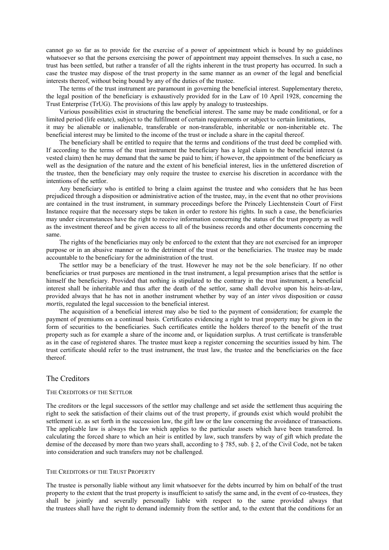cannot go so far as to provide for the exercise of a power of appointment which is bound by no guidelines whatsoever so that the persons exercising the power of appointment may appoint themselves. In such a case, no trust has been settled, but rather a transfer of all the rights inherent in the trust property has occurred. In such a case the trustee may dispose of the trust property in the same manner as an owner of the legal and beneficial interests thereof, without being bound by any of the duties of the trustee.

The terms of the trust instrument are paramount in governing the beneficial interest. Supplementary thereto, the legal position of the beneficiary is exhaustively provided for in the Law of 10 April 1928, concerning the Trust Enterprise (TrUG). The provisions of this law apply by analogy to trusteeships.

Various possibilities exist in structuring the beneficial interest. The same may be made conditional, or for a limited period (life estate), subject to the fulfilment of certain requirements or subject to certain limitations,

it may be alienable or inalienable, transferable or non-transferable, inheritable or non-inheritable etc. The beneficial interest may be limited to the income of the trust or include a share in the capital thereof.

The beneficiary shall be entitled to require that the terms and conditions of the trust deed be complied with. If according to the terms of the trust instrument the beneficiary has a legal claim to the beneficial interest (a vested claim) then he may demand that the same be paid to him; if however, the appointment of the beneficiary as well as the designation of the nature and the extent of his beneficial interest, lies in the unfettered discretion of the trustee, then the beneficiary may only require the trustee to exercise his discretion in accordance with the intentions of the settlor.

Any beneficiary who is entitled to bring a claim against the trustee and who considers that he has been prejudiced through a disposition or administrative action of the trustee, may, in the event that no other provisions are contained in the trust instrument, in summary proceedings before the Princely Liechtenstein Court of First Instance require that the necessary steps be taken in order to restore his rights. In such a case, the beneficiaries may under circumstances have the right to receive information concerning the status of the trust property as well as the investment thereof and be given access to all of the business records and other documents concerning the same.

The rights of the beneficiaries may only be enforced to the extent that they are not exercised for an improper purpose or in an abusive manner or to the detriment of the trust or the beneficiaries. The trustee may be made accountable to the beneficiary for the administration of the trust.

The settlor may be a beneficiary of the trust. However he may not be the sole beneficiary. If no other beneficiaries or trust purposes are mentioned in the trust instrument, a legal presumption arises that the settlor is himself the beneficiary. Provided that nothing is stipulated to the contrary in the trust instrument, a beneficial interest shall be inheritable and thus after the death of the settlor, same shall devolve upon his heirs-at-law, provided always that he has not in another instrument whether by way of an *inter vivos* disposition or *causa mortis*, regulated the legal succession to the beneficial interest.

The acquisition of a beneficial interest may also be tied to the payment of consideration; for example the payment of premiums on a continual basis. Certificates evidencing a right to trust property may be given in the form of securities to the beneficiaries. Such certificates entitle the holders thereof to the benefit of the trust property such as for example a share of the income and, or liquidation surplus. A trust certificate is transferable as in the case of registered shares. The trustee must keep a register concerning the securities issued by him. The trust certificate should refer to the trust instrument, the trust law, the trustee and the beneficiaries on the face thereof.

### The Creditors

#### THE CREDITORS OF THE SETTLOR

The creditors or the legal successors of the settlor may challenge and set aside the settlement thus acquiring the right to seek the satisfaction of their claims out of the trust property, if grounds exist which would prohibit the settlement i.e. as set forth in the succession law, the gift law or the law concerning the avoidance of transactions. The applicable law is always the law which applies to the particular assets which have been transferred. In calculating the forced share to which an heir is entitled by law, such transfers by way of gift which predate the demise of the deceased by more than two years shall, according to § 785, sub. § 2, of the Civil Code, not be taken into consideration and such transfers may not be challenged.

### THE CREDITORS OF THE TRUST PROPERTY

The trustee is personally liable without any limit whatsoever for the debts incurred by him on behalf of the trust property to the extent that the trust property is insufficient to satisfy the same and, in the event of co-trustees, they shall be jointly and severally personally liable with respect to the same provided always that the trustees shall have the right to demand indemnity from the settlor and, to the extent that the conditions for an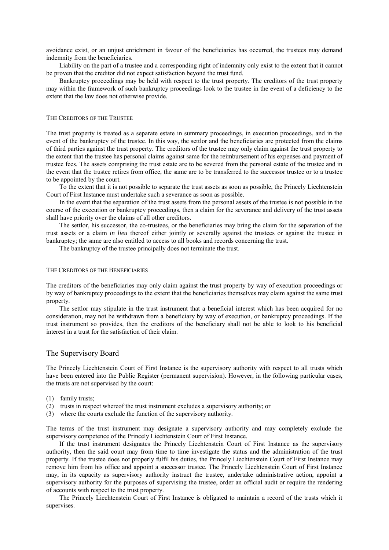avoidance exist, or an unjust enrichment in favour of the beneficiaries has occurred, the trustees may demand indemnity from the beneficiaries.

Liability on the part of a trustee and a corresponding right of indemnity only exist to the extent that it cannot be proven that the creditor did not expect satisfaction beyond the trust fund.

Bankruptcy proceedings may be held with respect to the trust property. The creditors of the trust property may within the framework of such bankruptcy proceedings look to the trustee in the event of a deficiency to the extent that the law does not otherwise provide.

### THE CREDITORS OF THE TRUSTEE

The trust property is treated as a separate estate in summary proceedings, in execution proceedings, and in the event of the bankruptcy of the trustee. In this way, the settlor and the beneficiaries are protected from the claims of third parties against the trust property. The creditors of the trustee may only claim against the trust property to the extent that the trustee has personal claims against same for the reimbursement of his expenses and payment of trustee fees. The assets comprising the trust estate are to be severed from the personal estate of the trustee and in the event that the trustee retires from office, the same are to be transferred to the successor trustee or to a trustee to be appointed by the court.

To the extent that it is not possible to separate the trust assets as soon as possible, the Princely Liechtenstein Court of First Instance must undertake such a severance as soon as possible.

In the event that the separation of the trust assets from the personal assets of the trustee is not possible in the course of the execution or bankruptcy proceedings, then a claim for the severance and delivery of the trust assets shall have priority over the claims of all other creditors.

The settlor, his successor, the co-trustees, or the beneficiaries may bring the claim for the separation of the trust assets or a claim *in lieu* thereof either jointly or severally against the trustees or against the trustee in bankruptcy; the same are also entitled to access to all books and records concerning the trust.

The bankruptcy of the trustee principally does not terminate the trust.

#### THE CREDITORS OF THE BENEFICIARIES

The creditors of the beneficiaries may only claim against the trust property by way of execution proceedings or by way of bankruptcy proceedings to the extent that the beneficiaries themselves may claim against the same trust property.

The settlor may stipulate in the trust instrument that a beneficial interest which has been acquired for no consideration, may not be withdrawn from a beneficiary by way of execution, or bankruptcy proceedings. If the trust instrument so provides, then the creditors of the beneficiary shall not be able to look to his beneficial interest in a trust for the satisfaction of their claim.

### The Supervisory Board

The Princely Liechtenstein Court of First Instance is the supervisory authority with respect to all trusts which have been entered into the Public Register (permanent supervision). However, in the following particular cases, the trusts are not supervised by the court:

- (1) family trusts;
- (2) trusts in respect whereof the trust instrument excludes a supervisory authority; or
- (3) where the courts exclude the function of the supervisory authority.

The terms of the trust instrument may designate a supervisory authority and may completely exclude the supervisory competence of the Princely Liechtenstein Court of First Instance.

If the trust instrument designates the Princely Liechtenstein Court of First Instance as the supervisory authority, then the said court may from time to time investigate the status and the administration of the trust property. If the trustee does not properly fulfil his duties, the Princely Liechtenstein Court of First Instance may remove him from his office and appoint a successor trustee. The Princely Liechtenstein Court of First Instance may, in its capacity as supervisory authority instruct the trustee, undertake administrative action, appoint a supervisory authority for the purposes of supervising the trustee, order an official audit or require the rendering of accounts with respect to the trust property.

The Princely Liechtenstein Court of First Instance is obligated to maintain a record of the trusts which it supervises.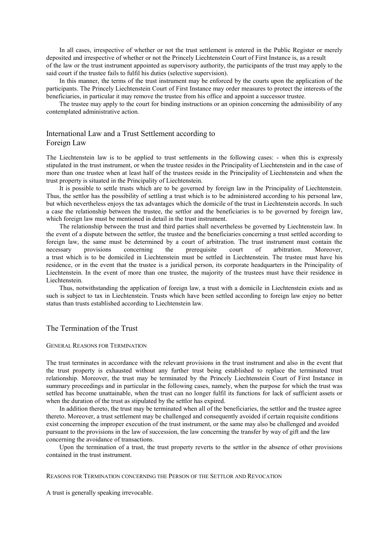In all cases, irrespective of whether or not the trust settlement is entered in the Public Register or merely deposited and irrespective of whether or not the Princely Liechtenstein Court of First Instance is, as a result of the law or the trust instrument appointed as supervisory authority, the participants of the trust may apply to the said court if the trustee fails to fulfil his duties (selective supervision).

In this manner, the terms of the trust instrument may be enforced by the courts upon the application of the participants. The Princely Liechtenstein Court of First Instance may order measures to protect the interests of the beneficiaries, in particular it may remove the trustee from his office and appoint a successor trustee.

The trustee may apply to the court for binding instructions or an opinion concerning the admissibility of any contemplated administrative action.

# International Law and a Trust Settlement according to Foreign Law

The Liechtenstein law is to be applied to trust settlements in the following cases: - when this is expressly stipulated in the trust instrument, or when the trustee resides in the Principality of Liechtenstein and in the case of more than one trustee when at least half of the trustees reside in the Principality of Liechtenstein and when the trust property is situated in the Principality of Liechtenstein.

It is possible to settle trusts which are to be governed by foreign law in the Principality of Liechtenstein. Thus, the settlor has the possibility of settling a trust which is to be administered according to his personal law, but which nevertheless enjoys the tax advantages which the domicile of the trust in Liechtenstein accords. In such a case the relationship between the trustee, the settlor and the beneficiaries is to be governed by foreign law, which foreign law must be mentioned in detail in the trust instrument.

The relationship between the trust and third parties shall nevertheless be governed by Liechtenstein law. In the event of a dispute between the settlor, the trustee and the beneficiaries concerning a trust settled according to foreign law, the same must be determined by a court of arbitration. The trust instrument must contain the necessary provisions concerning the prerequisite court of arbitration. Moreover, a trust which is to be domiciled in Liechtenstein must be settled in Liechtenstein. The trustee must have his residence, or in the event that the trustee is a juridical person, its corporate headquarters in the Principality of Liechtenstein. In the event of more than one trustee, the majority of the trustees must have their residence in Liechtenstein.

Thus, notwithstanding the application of foreign law, a trust with a domicile in Liechtenstein exists and as such is subject to tax in Liechtenstein. Trusts which have been settled according to foreign law enjoy no better status than trusts established according to Liechtenstein law.

# The Termination of the Trust

### GENERAL REASONS FOR TERMINATION

The trust terminates in accordance with the relevant provisions in the trust instrument and also in the event that the trust property is exhausted without any further trust being established to replace the terminated trust relationship. Moreover, the trust may be terminated by the Princely Liechtenstein Court of First Instance in summary proceedings and in particular in the following cases, namely, when the purpose for which the trust was settled has become unattainable, when the trust can no longer fulfil its functions for lack of sufficient assets or when the duration of the trust as stipulated by the settlor has expired.

In addition thereto, the trust may be terminated when all of the beneficiaries, the settlor and the trustee agree thereto. Moreover, a trust settlement may be challenged and consequently avoided if certain requisite conditions exist concerning the improper execution of the trust instrument, or the same may also be challenged and avoided pursuant to the provisions in the law of succession, the law concerning the transfer by way of gift and the law concerning the avoidance of transactions.

Upon the termination of a trust, the trust property reverts to the settlor in the absence of other provisions contained in the trust instrument.

#### REASONS FOR TERMINATION CONCERNING THE PERSON OF THE SETTLOR AND REVOCATION

A trust is generally speaking irrevocable.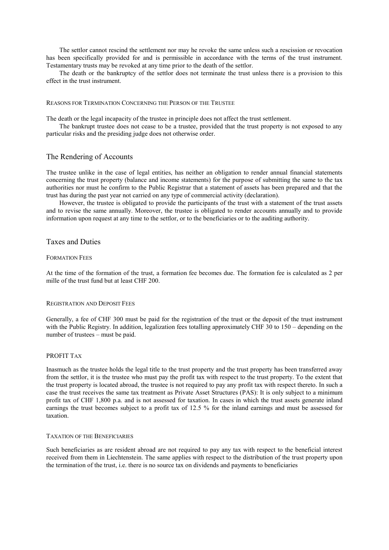The settlor cannot rescind the settlement nor may he revoke the same unless such a rescission or revocation has been specifically provided for and is permissible in accordance with the terms of the trust instrument. Testamentary trusts may be revoked at any time prior to the death of the settlor.

The death or the bankruptcy of the settlor does not terminate the trust unless there is a provision to this effect in the trust instrument.

#### REASONS FOR TERMINATION CONCERNING THE PERSON OF THE TRUSTEE

The death or the legal incapacity of the trustee in principle does not affect the trust settlement.

The bankrupt trustee does not cease to be a trustee, provided that the trust property is not exposed to any particular risks and the presiding judge does not otherwise order.

### The Rendering of Accounts

The trustee unlike in the case of legal entities, has neither an obligation to render annual financial statements concerning the trust property (balance and income statements) for the purpose of submitting the same to the tax authorities nor must he confirm to the Public Registrar that a statement of assets has been prepared and that the trust has during the past year not carried on any type of commercial activity (declaration).

However, the trustee is obligated to provide the participants of the trust with a statement of the trust assets and to revise the same annually. Moreover, the trustee is obligated to render accounts annually and to provide information upon request at any time to the settlor, or to the beneficiaries or to the auditing authority.

# Taxes and Duties

#### FORMATION FEES

At the time of the formation of the trust, a formation fee becomes due. The formation fee is calculated as 2 per mille of the trust fund but at least CHF 200.

#### REGISTRATION AND DEPOSIT FEES

Generally, a fee of CHF 300 must be paid for the registration of the trust or the deposit of the trust instrument with the Public Registry. In addition, legalization fees totalling approximately CHF 30 to 150 – depending on the number of trustees – must be paid.

### PROFIT TAX

Inasmuch as the trustee holds the legal title to the trust property and the trust property has been transferred away from the settlor, it is the trustee who must pay the profit tax with respect to the trust property. To the extent that the trust property is located abroad, the trustee is not required to pay any profit tax with respect thereto. In such a case the trust receives the same tax treatment as Private Asset Structures (PAS): It is only subject to a minimum profit tax of CHF 1,800 p.a. and is not assessed for taxation. In cases in which the trust assets generate inland earnings the trust becomes subject to a profit tax of 12.5 % for the inland earnings and must be assessed for taxation.

#### TAXATION OF THE BENEFICIARIES

Such beneficiaries as are resident abroad are not required to pay any tax with respect to the beneficial interest received from them in Liechtenstein. The same applies with respect to the distribution of the trust property upon the termination of the trust, i.e. there is no source tax on dividends and payments to beneficiaries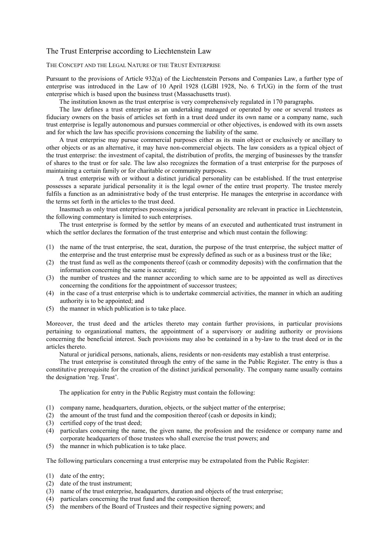### The Trust Enterprise according to Liechtenstein Law

### THE CONCEPT AND THE LEGAL NATURE OF THE TRUST ENTERPRISE

Pursuant to the provisions of Article 932(a) of the Liechtenstein Persons and Companies Law, a further type of enterprise was introduced in the Law of 10 April 1928 (LGBl 1928, No. 6 TrUG) in the form of the trust enterprise which is based upon the business trust (Massachusetts trust).

The institution known as the trust enterprise is very comprehensively regulated in 170 paragraphs.

The law defines a trust enterprise as an undertaking managed or operated by one or several trustees as fiduciary owners on the basis of articles set forth in a trust deed under its own name or a company name, such trust enterprise is legally autonomous and pursues commercial or other objectives, is endowed with its own assets and for which the law has specific provisions concerning the liability of the same.

A trust enterprise may pursue commercial purposes either as its main object or exclusively or ancillary to other objects or as an alternative, it may have non-commercial objects. The law considers as a typical object of the trust enterprise: the investment of capital, the distribution of profits, the merging of businesses by the transfer of shares to the trust or for sale. The law also recognizes the formation of a trust enterprise for the purposes of maintaining a certain family or for charitable or community purposes.

A trust enterprise with or without a distinct juridical personality can be established. If the trust enterprise possesses a separate juridical personality it is the legal owner of the entire trust property. The trustee merely fulfils a function as an administrative body of the trust enterprise. He manages the enterprise in accordance with the terms set forth in the articles to the trust deed.

Inasmuch as only trust enterprises possessing a juridical personality are relevant in practice in Liechtenstein, the following commentary is limited to such enterprises.

The trust enterprise is formed by the settlor by means of an executed and authenticated trust instrument in which the settlor declares the formation of the trust enterprise and which must contain the following:

- (1) the name of the trust enterprise, the seat, duration, the purpose of the trust enterprise, the subject matter of the enterprise and the trust enterprise must be expressly defined as such or as a business trust or the like;
- (2) the trust fund as well as the components thereof (cash or commodity deposits) with the confirmation that the information concerning the same is accurate;
- (3) the number of trustees and the manner according to which same are to be appointed as well as directives concerning the conditions for the appointment of successor trustees;
- (4) in the case of a trust enterprise which is to undertake commercial activities, the manner in which an auditing authority is to be appointed; and
- (5) the manner in which publication is to take place.

Moreover, the trust deed and the articles thereto may contain further provisions, in particular provisions pertaining to organizational matters, the appointment of a supervisory or auditing authority or provisions concerning the beneficial interest. Such provisions may also be contained in a by-law to the trust deed or in the articles thereto.

Natural or juridical persons, nationals, aliens, residents or non-residents may establish a trust enterprise.

The trust enterprise is constituted through the entry of the same in the Public Register. The entry is thus a constitutive prerequisite for the creation of the distinct juridical personality. The company name usually contains the designation 'reg. Trust'.

The application for entry in the Public Registry must contain the following:

- (1) company name, headquarters, duration, objects, or the subject matter of the enterprise;
- (2) the amount of the trust fund and the composition thereof (cash or deposits in kind);
- (3) certified copy of the trust deed;
- (4) particulars concerning the name, the given name, the profession and the residence or company name and corporate headquarters of those trustees who shall exercise the trust powers; and
- (5) the manner in which publication is to take place.

The following particulars concerning a trust enterprise may be extrapolated from the Public Register:

- (1) date of the entry;
- (2) date of the trust instrument;
- (3) name of the trust enterprise, headquarters, duration and objects of the trust enterprise;
- (4) particulars concerning the trust fund and the composition thereof;
- (5) the members of the Board of Trustees and their respective signing powers; and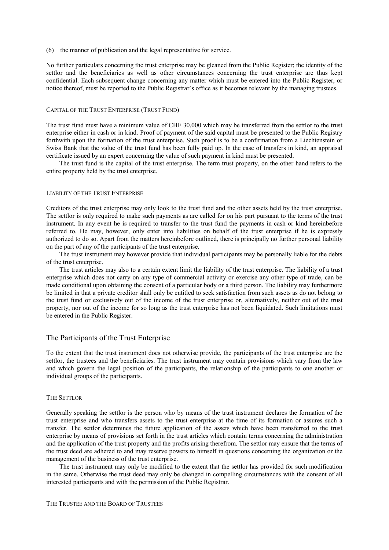(6) the manner of publication and the legal representative for service.

No further particulars concerning the trust enterprise may be gleaned from the Public Register; the identity of the settlor and the beneficiaries as well as other circumstances concerning the trust enterprise are thus kept confidential. Each subsequent change concerning any matter which must be entered into the Public Register, or notice thereof, must be reported to the Public Registrar's office as it becomes relevant by the managing trustees.

### CAPITAL OF THE TRUST ENTERPRISE (TRUST FUND)

The trust fund must have a minimum value of CHF 30,000 which may be transferred from the settlor to the trust enterprise either in cash or in kind. Proof of payment of the said capital must be presented to the Public Registry forthwith upon the formation of the trust enterprise. Such proof is to be a confirmation from a Liechtenstein or Swiss Bank that the value of the trust fund has been fully paid up. In the case of transfers in kind, an appraisal certificate issued by an expert concerning the value of such payment in kind must be presented.

The trust fund is the capital of the trust enterprise. The term trust property, on the other hand refers to the entire property held by the trust enterprise.

### LIABILITY OF THE TRUST ENTERPRISE

Creditors of the trust enterprise may only look to the trust fund and the other assets held by the trust enterprise. The settlor is only required to make such payments as are called for on his part pursuant to the terms of the trust instrument. In any event he is required to transfer to the trust fund the payments in cash or kind hereinbefore referred to. He may, however, only enter into liabilities on behalf of the trust enterprise if he is expressly authorized to do so. Apart from the matters hereinbefore outlined, there is principally no further personal liability on the part of any of the participants of the trust enterprise.

The trust instrument may however provide that individual participants may be personally liable for the debts of the trust enterprise.

The trust articles may also to a certain extent limit the liability of the trust enterprise. The liability of a trust enterprise which does not carry on any type of commercial activity or exercise any other type of trade, can be made conditional upon obtaining the consent of a particular body or a third person. The liability may furthermore be limited in that a private creditor shall only be entitled to seek satisfaction from such assets as do not belong to the trust fund or exclusively out of the income of the trust enterprise or, alternatively, neither out of the trust property, nor out of the income for so long as the trust enterprise has not been liquidated. Such limitations must be entered in the Public Register.

### The Participants of the Trust Enterprise

To the extent that the trust instrument does not otherwise provide, the participants of the trust enterprise are the settlor, the trustees and the beneficiaries. The trust instrument may contain provisions which vary from the law and which govern the legal position of the participants, the relationship of the participants to one another or individual groups of the participants.

#### THE SETTLOR

Generally speaking the settlor is the person who by means of the trust instrument declares the formation of the trust enterprise and who transfers assets to the trust enterprise at the time of its formation or assures such a transfer. The settlor determines the future application of the assets which have been transferred to the trust enterprise by means of provisions set forth in the trust articles which contain terms concerning the administration and the application of the trust property and the profits arising therefrom. The settlor may ensure that the terms of the trust deed are adhered to and may reserve powers to himself in questions concerning the organization or the management of the business of the trust enterprise.

The trust instrument may only be modified to the extent that the settlor has provided for such modification in the same. Otherwise the trust deed may only be changed in compelling circumstances with the consent of all interested participants and with the permission of the Public Registrar.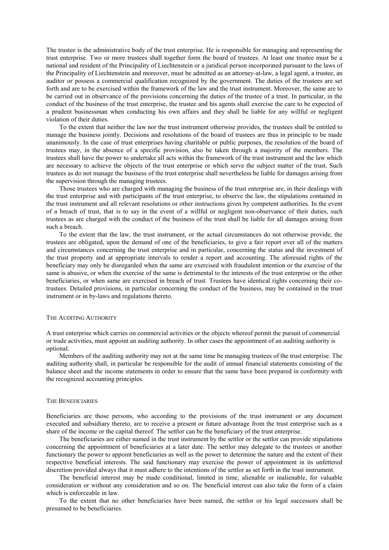The trustee is the administrative body of the trust enterprise. He is responsible for managing and representing the trust enterprise. Two or more trustees shall together form the board of trustees. At least one trustee must be a national and resident of the Principality of Liechtenstein or a juridical person incorporated pursuant to the laws of the Principality of Liechtenstein and moreover, must be admitted as an attorney-at-law, a legal agent, a trustee, an auditor or possess a commercial qualification recognized by the government. The duties of the trustees are set forth and are to be exercised within the framework of the law and the trust instrument. Moreover, the same are to be carried out in observance of the provisions concerning the duties of the trustee of a trust. In particular, in the conduct of the business of the trust enterprise, the trustee and his agents shall exercise the care to be expected of a prudent businessman when conducting his own affairs and they shall be liable for any willful or negligent violation of their duties.

To the extent that neither the law nor the trust instrument otherwise provides, the trustees shall be entitled to manage the business jointly. Decisions and resolutions of the board of trustees are thus in principle to be made unanimously. In the case of trust enterprises having charitable or public purposes, the resolution of the board of trustees may, in the absence of a specific provision, also be taken through a majority of the members. The trustees shall have the power to undertake all acts within the framework of the trust instrument and the law which are necessary to achieve the objects of the trust enterprise or which serve the subject matter of the trust. Such trustees as do not manage the business of the trust enterprise shall nevertheless be liable for damages arising from the supervision through the managing trustees.

Those trustees who are charged with managing the business of the trust enterprise are, in their dealings with the trust enterprise and with participants of the trust enterprise, to observe the law, the stipulations contained in the trust instrument and all relevant resolutions or other instructions given by competent authorities. In the event of a breach of trust, that is to say in the event of a willful or negligent non-observance of their duties, such trustees as are charged with the conduct of the business of the trust shall be liable for all damages arising from such a breach.

To the extent that the law, the trust instrument, or the actual circumstances do not otherwise provide, the trustees are obligated, upon the demand of one of the beneficiaries, to give a fair report over all of the matters and circumstances concerning the trust enterprise and in particular, concerning the status and the investment of the trust property and at appropriate intervals to render a report and accounting. The aforesaid rights of the beneficiary may only be disregarded when the same are exercised with fraudulent intention or the exercise of the same is abusive, or when the exercise of the same is detrimental to the interests of the trust enterprise or the other beneficiaries, or when same are exercised in breach of trust. Trustees have identical rights concerning their cotrustees. Detailed provisions, in particular concerning the conduct of the business, may be contained in the trust instrument or in by-laws and regulations thereto.

### THE AUDITING AUTHORITY

A trust enterprise which carries on commercial activities or the objects whereof permit the pursuit of commercial or trade activities, must appoint an auditing authority. In other cases the appointment of an auditing authority is optional.

Members of the auditing authority may not at the same time be managing trustees of the trust enterprise. The auditing authority shall, in particular be responsible for the audit of annual financial statements consisting of the balance sheet and the income statements in order to ensure that the same have been prepared in conformity with the recognized accounting principles.

#### THE BENEFICIARIES

Beneficiaries are those persons, who according to the provisions of the trust instrument or any document executed and subsidiary thereto, are to receive a present or future advantage from the trust enterprise such as a share of the income or the capital thereof. The settlor can be the beneficiary of the trust enterprise.

The beneficiaries are either named in the trust instrument by the settlor or the settlor can provide stipulations concerning the appointment of beneficiaries at a later date. The settlor may delegate to the trustees or another functionary the power to appoint beneficiaries as well as the power to determine the nature and the extent of their respective beneficial interests. The said functionary may exercise the power of appointment in its unfettered discretion provided always that it must adhere to the intentions of the settlor as set forth in the trust instrument.

The beneficial interest may be made conditional, limited in time, alienable or inalienable, for valuable consideration or without any consideration and so on. The beneficial interest can also take the form of a claim which is enforceable in law.

To the extent that no other beneficiaries have been named, the settlor or his legal successors shall be presumed to be beneficiaries.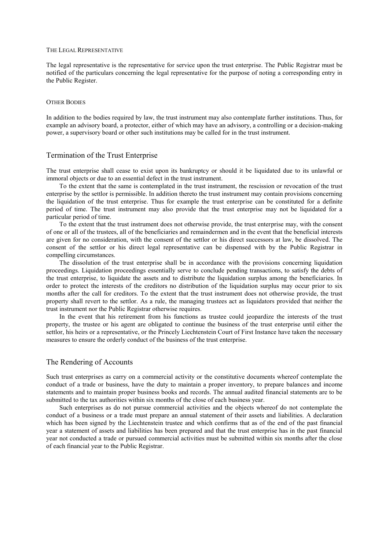#### THE LEGAL REPRESENTATIVE

The legal representative is the representative for service upon the trust enterprise. The Public Registrar must be notified of the particulars concerning the legal representative for the purpose of noting a corresponding entry in the Public Register.

#### OTHER BODIES

In addition to the bodies required by law, the trust instrument may also contemplate further institutions. Thus, for example an advisory board, a protector, either of which may have an advisory, a controlling or a decision-making power, a supervisory board or other such institutions may be called for in the trust instrument.

### Termination of the Trust Enterprise

The trust enterprise shall cease to exist upon its bankruptcy or should it be liquidated due to its unlawful or immoral objects or due to an essential defect in the trust instrument.

To the extent that the same is contemplated in the trust instrument, the rescission or revocation of the trust enterprise by the settlor is permissible. In addition thereto the trust instrument may contain provisions concerning the liquidation of the trust enterprise. Thus for example the trust enterprise can be constituted for a definite period of time. The trust instrument may also provide that the trust enterprise may not be liquidated for a particular period of time.

To the extent that the trust instrument does not otherwise provide, the trust enterprise may, with the consent of one or all of the trustees, all of the beneficiaries and remaindermen and in the event that the beneficial interests are given for no consideration, with the consent of the settlor or his direct successors at law, be dissolved. The consent of the settlor or his direct legal representative can be dispensed with by the Public Registrar in compelling circumstances.

The dissolution of the trust enterprise shall be in accordance with the provisions concerning liquidation proceedings. Liquidation proceedings essentially serve to conclude pending transactions, to satisfy the debts of the trust enterprise, to liquidate the assets and to distribute the liquidation surplus among the beneficiaries. In order to protect the interests of the creditors no distribution of the liquidation surplus may occur prior to six months after the call for creditors. To the extent that the trust instrument does not otherwise provide, the trust property shall revert to the settlor. As a rule, the managing trustees act as liquidators provided that neither the trust instrument nor the Public Registrar otherwise requires.

In the event that his retirement from his functions as trustee could jeopardize the interests of the trust property, the trustee or his agent are obligated to continue the business of the trust enterprise until either the settlor, his heirs or a representative, or the Princely Liechtenstein Court of First Instance have taken the necessary measures to ensure the orderly conduct of the business of the trust enterprise.

# The Rendering of Accounts

Such trust enterprises as carry on a commercial activity or the constitutive documents whereof contemplate the conduct of a trade or business, have the duty to maintain a proper inventory, to prepare balances and income statements and to maintain proper business books and records. The annual audited financial statements are to be submitted to the tax authorities within six months of the close of each business year.

Such enterprises as do not pursue commercial activities and the objects whereof do not contemplate the conduct of a business or a trade must prepare an annual statement of their assets and liabilities. A declaration which has been signed by the Liechtenstein trustee and which confirms that as of the end of the past financial year a statement of assets and liabilities has been prepared and that the trust enterprise has in the past financial year not conducted a trade or pursued commercial activities must be submitted within six months after the close of each financial year to the Public Registrar.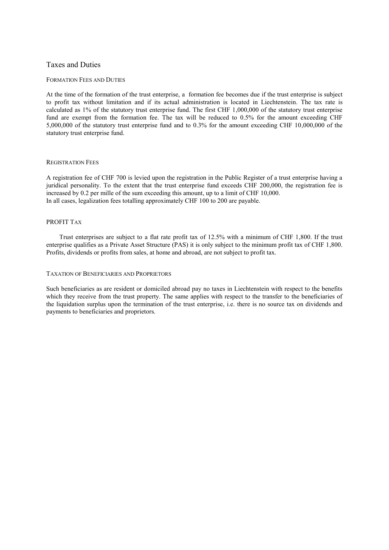# Taxes and Duties

### FORMATION FEES AND DUTIES

At the time of the formation of the trust enterprise, a formation fee becomes due if the trust enterprise is subject to profit tax without limitation and if its actual administration is located in Liechtenstein. The tax rate is calculated as 1% of the statutory trust enterprise fund. The first CHF 1,000,000 of the statutory trust enterprise fund are exempt from the formation fee. The tax will be reduced to 0.5% for the amount exceeding CHF 5,000,000 of the statutory trust enterprise fund and to 0.3% for the amount exceeding CHF 10,000,000 of the statutory trust enterprise fund.

### REGISTRATION FEES

A registration fee of CHF 700 is levied upon the registration in the Public Register of a trust enterprise having a juridical personality. To the extent that the trust enterprise fund exceeds CHF 200,000, the registration fee is increased by 0.2 per mille of the sum exceeding this amount, up to a limit of CHF 10,000. In all cases, legalization fees totalling approximately CHF 100 to 200 are payable.

### PROFIT TAX

Trust enterprises are subject to a flat rate profit tax of 12.5% with a minimum of CHF 1,800. If the trust enterprise qualifies as a Private Asset Structure (PAS) it is only subject to the minimum profit tax of CHF 1,800. Profits, dividends or profits from sales, at home and abroad, are not subject to profit tax.

### TAXATION OF BENEFICIARIES AND PROPRIETORS

Such beneficiaries as are resident or domiciled abroad pay no taxes in Liechtenstein with respect to the benefits which they receive from the trust property. The same applies with respect to the transfer to the beneficiaries of the liquidation surplus upon the termination of the trust enterprise, i.e. there is no source tax on dividends and payments to beneficiaries and proprietors.